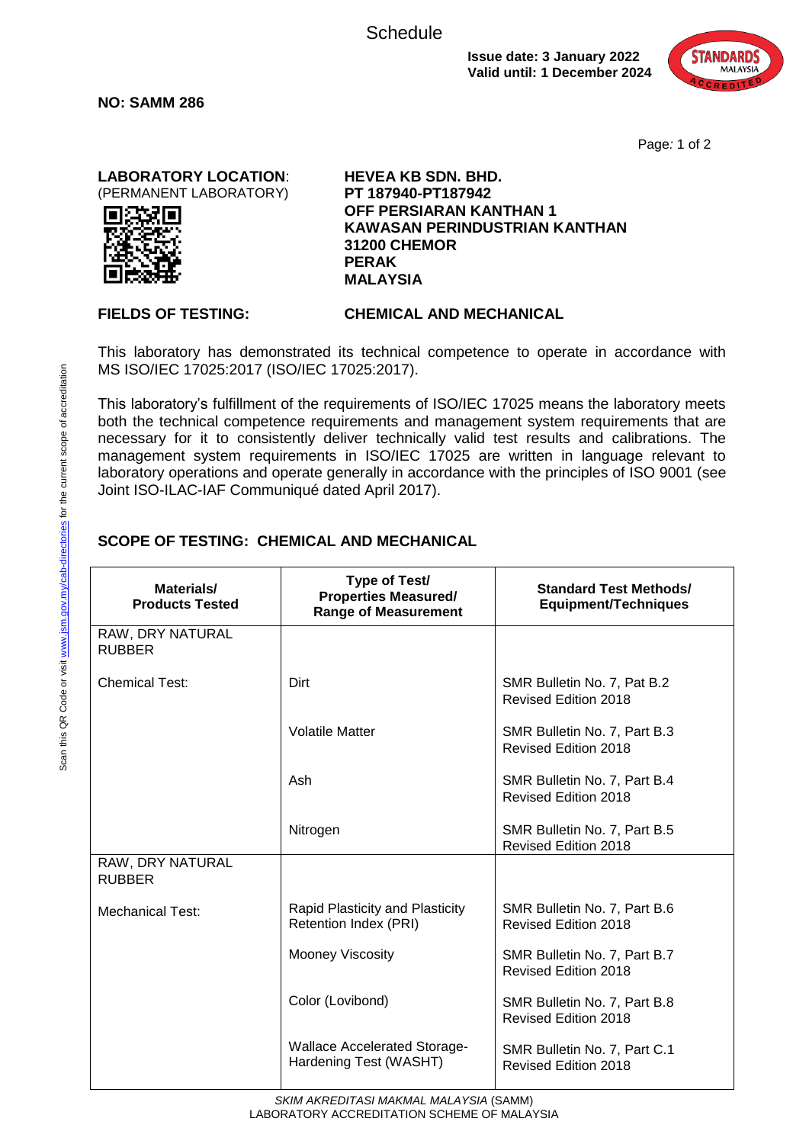**Schedule** 

**Issue date: 3 January 2022 Valid until: 1 December 2024**



Page*:* 1 of 2

**LABORATORY LOCATION**: (PERMANENT LABORATORY)



**NO: SAMM 286**

**HEVEA KB SDN. BHD. PT 187940-PT187942 OFF PERSIARAN KANTHAN 1 KAWASAN PERINDUSTRIAN KANTHAN 31200 CHEMOR PERAK MALAYSIA**

## **FIELDS OF TESTING: CHEMICAL AND MECHANICAL**

This laboratory has demonstrated its technical competence to operate in accordance with MS ISO/IEC 17025:2017 (ISO/IEC 17025:2017).

This laboratory's fulfillment of the requirements of ISO/IEC 17025 means the laboratory meets both the technical competence requirements and management system requirements that are necessary for it to consistently deliver technically valid test results and calibrations. The management system requirements in ISO/IEC 17025 are written in language relevant to laboratory operations and operate generally in accordance with the principles of ISO 9001 (see Joint ISO-ILAC-IAF Communiqué dated April 2017).

## **SCOPE OF TESTING: CHEMICAL AND MECHANICAL**

| Materials/<br><b>Products Tested</b> | <b>Type of Test/</b><br><b>Properties Measured/</b><br><b>Range of Measurement</b> | <b>Standard Test Methods/</b><br><b>Equipment/Techniques</b> |
|--------------------------------------|------------------------------------------------------------------------------------|--------------------------------------------------------------|
| RAW, DRY NATURAL<br><b>RUBBER</b>    |                                                                                    |                                                              |
| <b>Chemical Test:</b>                | Dirt                                                                               | SMR Bulletin No. 7, Pat B.2<br>Revised Edition 2018          |
|                                      | <b>Volatile Matter</b>                                                             | SMR Bulletin No. 7, Part B.3<br>Revised Edition 2018         |
|                                      | Ash                                                                                | SMR Bulletin No. 7, Part B.4<br><b>Revised Edition 2018</b>  |
|                                      | Nitrogen                                                                           | SMR Bulletin No. 7, Part B.5<br><b>Revised Edition 2018</b>  |
| RAW, DRY NATURAL<br><b>RUBBER</b>    |                                                                                    |                                                              |
| <b>Mechanical Test:</b>              | Rapid Plasticity and Plasticity<br>Retention Index (PRI)                           | SMR Bulletin No. 7, Part B.6<br><b>Revised Edition 2018</b>  |
|                                      | <b>Mooney Viscosity</b>                                                            | SMR Bulletin No. 7, Part B.7<br><b>Revised Edition 2018</b>  |
|                                      | Color (Lovibond)                                                                   | SMR Bulletin No. 7, Part B.8<br><b>Revised Edition 2018</b>  |
|                                      | <b>Wallace Accelerated Storage-</b><br>Hardening Test (WASHT)                      | SMR Bulletin No. 7, Part C.1<br>Revised Edition 2018         |